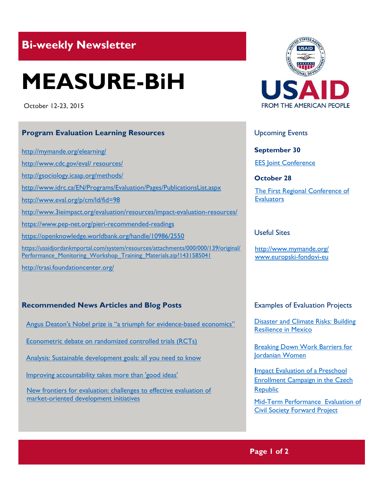## **Bi-weekly Newsletter**

# **MEASURE-BiH**

October 12-23, 2015

#### **Program Evaluation Learning Resources**

<http://mymande.org/elearning/>

[http://www.cdc.gov/eval/ resources/](http://www.cdc.gov/eval/%20resources/)

[http://gsociology.icaap.org/m](http://gsociology.icaap.org/)ethods/

[http://www.idrc.ca/EN/P](http://www.idrc.ca/EN/)rograms/Evaluation/Pages/PublicationsList.aspx

<http://www.eval.org/p/cm/ld/fid=98>

<http://www.3ieimpact.org/evaluation/resources/impact-evaluation-resources/>

<https://www.pep-net.org/pieri-recommended-readings>

<https://openknowledge.worldbank.org/handle/10986/2550>

[https://usaidjordankmportal.com/system/resources/attachments/000/000/139/original/](https://usaidjordankmportal.com/system/resources/attachments/000/000/139/original/Performance_Monitoring_Workshop_Training_Materials.zip?1431585041) Performance Monitoring Workshop Training Materials.zip?1431585041

<http://trasi.foundationcenter.org/>

#### **Recommended News Articles and Blog Posts**

[Angus Deaton's Nobel prize i](http://www.economist.com/news/finance-and-economics/21674436-bringing-economics-back-real-world-angus-deatons-nobel-prize-triumph)s "a triumph for evidence-based economics"

[Econometric debate on randomized controlled trials \(RCTs\)](http://www.poverty-action.org/node/1976)

[Analysis: Sustainable development goals: all you need](http://www.theguardian.com/global-development/2015/jan/19/sustainable-development-goals-united-nations) to know

[Improving accountability takes more than 'good ideas'](https://www.devex.com/news/improving-accountability-takes-more-than-good-ideas-87137)

[New frontiers for evaluation: challenges to effective evaluation of](http://www.ifad.org/evaluation/whatwedo/news/2015/wilton_park.htm)  [market-oriented development initiatives](http://www.ifad.org/evaluation/whatwedo/news/2015/wilton_park.htm)



Upcoming Events

**September 30** [EES Joint Conference](http://www.europeanevaluation.org/events/ees-conferences-and-events/conferences/evalyear-2015x/joint-2015-conference)

**October 28**

[The First Regional Conference of](http://www.bheval.com/index.php/en/81-news/134-regional-conference)  **[Evaluators](http://www.bheval.com/index.php/en/81-news/134-regional-conference)** 

#### Useful Sites

<http://www.mymande.org/> [www.europski-fondovi-eu](http://www.europski-fondovi-eu/)

#### Examples of Evaluation Projects

[Disaster and Climate Risks: Building](http://web.worldbank.org/WBSITE/EXTERNAL/TOPICS/EXTPOVERTY/0,,contentMDK:23127118~pagePK:210058~piPK:210062~theSitePK:336992,00.html)  [Resilience in Mexico](http://web.worldbank.org/WBSITE/EXTERNAL/TOPICS/EXTPOVERTY/0,,contentMDK:23127118~pagePK:210058~piPK:210062~theSitePK:336992,00.html)

**Breaking Down Work Barriers for** [Jordanian Women](http://web.worldbank.org/WBSITE/EXTERNAL/TOPICS/EXTPOVERTY/0,,contentMDK:23123370~pagePK:210058~piPK:210062~theSitePK:336992,00.html)

**I**[mpact Evaluation of a Preschool](http://www.povertyactionlab.org/evaluation/impact-evaluation-preschool-enrollment-campaign-czech-republic)  [Enrollment Campaign in the Czech](http://www.povertyactionlab.org/evaluation/impact-evaluation-preschool-enrollment-campaign-czech-republic)  [Republic](http://www.povertyactionlab.org/evaluation/impact-evaluation-preschool-enrollment-campaign-czech-republic)

[Mid-Term Performance Evaluation of](http://pdf.usaid.gov/pdf_docs/pa00kp3f.pdf)  [Civil Society Forward Project](http://pdf.usaid.gov/pdf_docs/pa00kp3f.pdf)

### **Page 1 of 2**